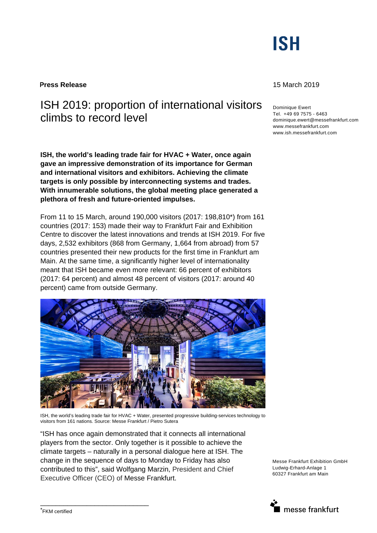# **ISH**

**Press Release** 15 March 2019

## ISH 2019: proportion of international visitors climbs to record level

**ISH, the world's leading trade fair for HVAC + Water, once again gave an impressive demonstration of its importance for German and international visitors and exhibitors. Achieving the climate targets is only possible by interconnecting systems and trades. With innumerable solutions, the global meeting place generated a plethora of fresh and future-oriented impulses.** 

From 11 to 15 March, around 190,000 visitors (2017: 198,810\*) from 161 countries (2017: 153) made their way to Frankfurt Fair and Exhibition Centre to discover the latest innovations and trends at ISH 2019. For five days, 2,532 exhibitors (868 from Germany, 1,664 from abroad) from 57 countries presented their new products for the first time in Frankfurt am Main. At the same time, a significantly higher level of internationality meant that ISH became even more relevant: 66 percent of exhibitors (2017: 64 percent) and almost 48 percent of visitors (2017: around 40 percent) came from outside Germany.



ISH, the world's leading trade fair for HVAC + Water, presented progressive building-services technology to visitors from 161 nations. Source: Messe Frankfurt / Pietro Sutera

"ISH has once again demonstrated that it connects all international players from the sector. Only together is it possible to achieve the climate targets – naturally in a personal dialogue here at ISH. The change in the sequence of days to Monday to Friday has also contributed to this", said Wolfgang Marzin, President and Chief Executive Officer (CEO) of Messe Frankfurt.

Messe Frankfurt Exhibition GmbH Ludwig-Erhard-Anlage 1 60327 Frankfurt am Main



\_\_\_\_\_\_\_\_\_\_\_\_\_\_\_\_\_\_\_\_\_\_\_\_\_\_\_\_

Dominique Ewert Tel. +49 69 7575 - 6463 dominique.ewert@messefrankfurt.com www.messefrankfurt.com www.ish.messefrankfurt.com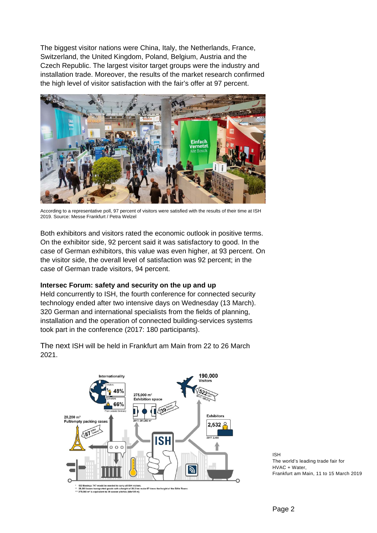The biggest visitor nations were China, Italy, the Netherlands, France, Switzerland, the United Kingdom, Poland, Belgium, Austria and the Czech Republic. The largest visitor target groups were the industry and installation trade. Moreover, the results of the market research confirmed the high level of visitor satisfaction with the fair's offer at 97 percent.



According to a representative poll, 97 percent of visitors were satisfied with the results of their time at ISH 2019. Source: Messe Frankfurt / Petra Welzel

Both exhibitors and visitors rated the economic outlook in positive terms. On the exhibitor side, 92 percent said it was satisfactory to good. In the case of German exhibitors, this value was even higher, at 93 percent. On the visitor side, the overall level of satisfaction was 92 percent; in the case of German trade visitors, 94 percent.

### **Intersec Forum: safety and security on the up and up**

Held concurrently to ISH, the fourth conference for connected security technology ended after two intensive days on Wednesday (13 March). 320 German and international specialists from the fields of planning, installation and the operation of connected building-services systems took part in the conference (2017: 180 participants).



The next ISH will be held in Frankfurt am Main from 22 to 26 March 2021.

> ISH The world's leading trade fair for HVAC + Water, Frankfurt am Main, 11 to 15 March 2019